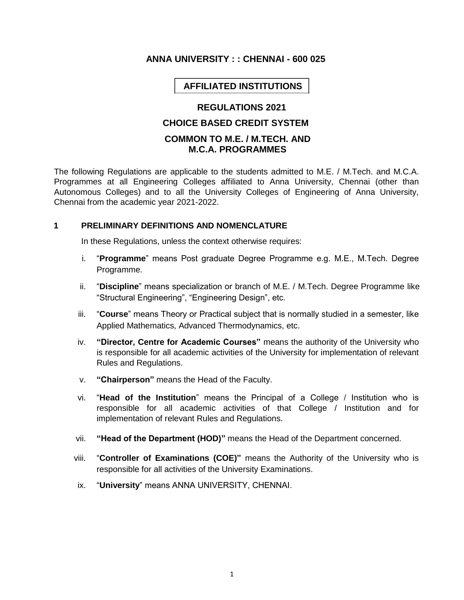# **ANNA UNIVERSITY : : CHENNAI - 600 025**

# **AFFILIATED INSTITUTIONS**

# **REGULATIONS 2021**

## **CHOICE BASED CREDIT SYSTEM**

# **COMMON TO M.E. / M.TECH. AND M.C.A. PROGRAMMES**

The following Regulations are applicable to the students admitted to M.E. / M.Tech. and M.C.A. Programmes at all Engineering Colleges affiliated to Anna University, Chennai (other than Autonomous Colleges) and to all the University Colleges of Engineering of Anna University, Chennai from the academic year 2021-2022.

#### **1 PRELIMINARY DEFINITIONS AND NOMENCLATURE**

In these Regulations, unless the context otherwise requires:

- i. "**Programme**" means Post graduate Degree Programme e.g. M.E., M.Tech. Degree Programme.
- ii. "**Discipline**" means specialization or branch of M.E. / M.Tech. Degree Programme like "Structural Engineering", "Engineering Design", etc.
- iii. "**Course**" means Theory or Practical subject that is normally studied in a semester, like Applied Mathematics, Advanced Thermodynamics, etc.
- iv. **"Director, Centre for Academic Courses"** means the authority of the University who is responsible for all academic activities of the University for implementation of relevant Rules and Regulations.
- v. **"Chairperson"** means the Head of the Faculty.
- vi. "**Head of the Institution**" means the Principal of a College / Institution who is responsible for all academic activities of that College / Institution and for implementation of relevant Rules and Regulations.
- vii. **"Head of the Department (HOD)"** means the Head of the Department concerned.
- viii. "**Controller of Examinations (COE)"** means the Authority of the University who is responsible for all activities of the University Examinations.
- ix. "**University**" means ANNA UNIVERSITY, CHENNAI.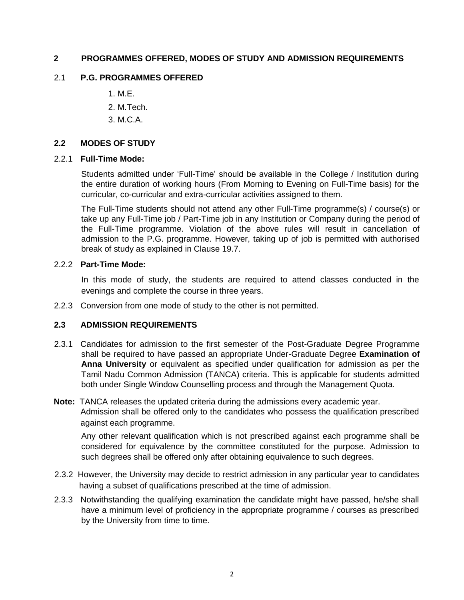# **2 PROGRAMMES OFFERED, MODES OF STUDY AND ADMISSION REQUIREMENTS**

### 2.1 **P.G. PROGRAMMES OFFERED**

- 1. M.E.
- 2. M.Tech.
- 3. M.C.A.

### **2.2 MODES OF STUDY**

#### 2.2.1 **Full-Time Mode:**

Students admitted under 'Full-Time' should be available in the College / Institution during the entire duration of working hours (From Morning to Evening on Full-Time basis) for the curricular, co-curricular and extra-curricular activities assigned to them.

The Full-Time students should not attend any other Full-Time programme(s) / course(s) or take up any Full-Time job / Part-Time job in any Institution or Company during the period of the Full-Time programme. Violation of the above rules will result in cancellation of admission to the P.G. programme. However, taking up of job is permitted with authorised break of study as explained in Clause 19.7.

### 2.2.2 **Part-Time Mode:**

In this mode of study, the students are required to attend classes conducted in the evenings and complete the course in three years.

2.2.3 Conversion from one mode of study to the other is not permitted.

### **2.3 ADMISSION REQUIREMENTS**

2.3.1 Candidates for admission to the first semester of the Post-Graduate Degree Programme shall be required to have passed an appropriate Under-Graduate Degree **Examination of Anna University** or equivalent as specified under qualification for admission as per the Tamil Nadu Common Admission (TANCA) criteria. This is applicable for students admitted both under Single Window Counselling process and through the Management Quota.

# **Note:** TANCA releases the updated criteria during the admissions every academic year. Admission shall be offered only to the candidates who possess the qualification prescribed against each programme.

Any other relevant qualification which is not prescribed against each programme shall be considered for equivalence by the committee constituted for the purpose. Admission to such degrees shall be offered only after obtaining equivalence to such degrees.

- 2.3.2 However, the University may decide to restrict admission in any particular year to candidates having a subset of qualifications prescribed at the time of admission.
- 2.3.3 Notwithstanding the qualifying examination the candidate might have passed, he/she shall have a minimum level of proficiency in the appropriate programme / courses as prescribed by the University from time to time.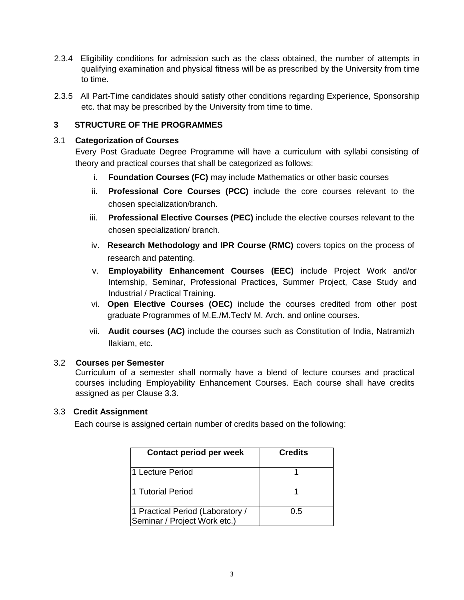- 2.3.4 Eligibility conditions for admission such as the class obtained, the number of attempts in qualifying examination and physical fitness will be as prescribed by the University from time to time.
- 2.3.5 All Part-Time candidates should satisfy other conditions regarding Experience, Sponsorship etc. that may be prescribed by the University from time to time.

# **3 STRUCTURE OF THE PROGRAMMES**

#### 3.1 **Categorization of Courses**

Every Post Graduate Degree Programme will have a curriculum with syllabi consisting of theory and practical courses that shall be categorized as follows:

- i. **Foundation Courses (FC)** may include Mathematics or other basic courses
- ii. **Professional Core Courses (PCC)** include the core courses relevant to the chosen specialization/branch.
- iii. **Professional Elective Courses (PEC)** include the elective courses relevant to the chosen specialization/ branch.
- iv. **Research Methodology and IPR Course (RMC)** covers topics on the process of research and patenting.
- v. **Employability Enhancement Courses (EEC)** include Project Work and/or Internship, Seminar, Professional Practices, Summer Project, Case Study and Industrial / Practical Training.
- vi. **Open Elective Courses (OEC)** include the courses credited from other post graduate Programmes of M.E./M.Tech/ M. Arch. and online courses.
- vii. **Audit courses (AC)** include the courses such as Constitution of India, Natramizh Ilakiam, etc.

### 3.2 **Courses per Semester**

Curriculum of a semester shall normally have a blend of lecture courses and practical courses including Employability Enhancement Courses. Each course shall have credits assigned as per Clause 3.3.

### 3.3 **Credit Assignment**

Each course is assigned certain number of credits based on the following:

| Contact period per week                                          | <b>Credits</b> |
|------------------------------------------------------------------|----------------|
| 1 Lecture Period                                                 |                |
| l1 Tutorial Period                                               |                |
| 1 Practical Period (Laboratory /<br>Seminar / Project Work etc.) | 0.5            |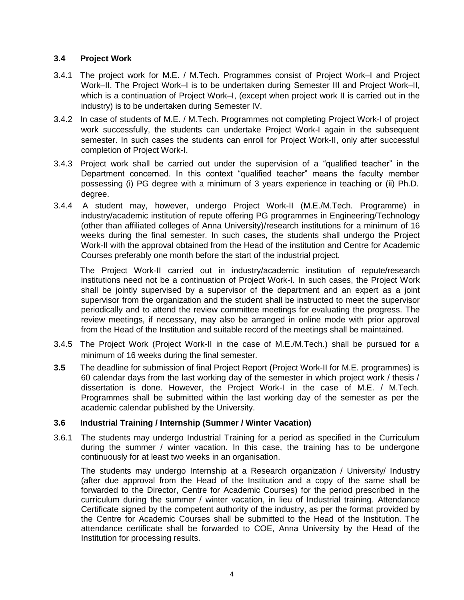# **3.4 Project Work**

- 3.4.1 The project work for M.E. / M.Tech. Programmes consist of Project Work–I and Project Work–II. The Project Work–I is to be undertaken during Semester III and Project Work–II, which is a continuation of Project Work–I, (except when project work II is carried out in the industry) is to be undertaken during Semester IV.
- 3.4.2 In case of students of M.E. / M.Tech. Programmes not completing Project Work-I of project work successfully, the students can undertake Project Work-I again in the subsequent semester. In such cases the students can enroll for Project Work-II, only after successful completion of Project Work-I.
- 3.4.3 Project work shall be carried out under the supervision of a "qualified teacher" in the Department concerned. In this context "qualified teacher" means the faculty member possessing (i) PG degree with a minimum of 3 years experience in teaching or (ii) Ph.D. degree.
- 3.4.4 A student may, however, undergo Project Work-II (M.E./M.Tech. Programme) in industry/academic institution of repute offering PG programmes in Engineering/Technology (other than affiliated colleges of Anna University)/research institutions for a minimum of 16 weeks during the final semester. In such cases, the students shall undergo the Project Work-II with the approval obtained from the Head of the institution and Centre for Academic Courses preferably one month before the start of the industrial project.

The Project Work-II carried out in industry/academic institution of repute/research institutions need not be a continuation of Project Work-I. In such cases, the Project Work shall be jointly supervised by a supervisor of the department and an expert as a joint supervisor from the organization and the student shall be instructed to meet the supervisor periodically and to attend the review committee meetings for evaluating the progress. The review meetings, if necessary, may also be arranged in online mode with prior approval from the Head of the Institution and suitable record of the meetings shall be maintained.

- 3.4.5 The Project Work (Project Work-II in the case of M.E./M.Tech.) shall be pursued for a minimum of 16 weeks during the final semester.
- **3.5** The deadline for submission of final Project Report (Project Work-II for M.E. programmes) is 60 calendar days from the last working day of the semester in which project work / thesis / dissertation is done. However, the Project Work-I in the case of M.E. / M.Tech. Programmes shall be submitted within the last working day of the semester as per the academic calendar published by the University.

### **3.6 Industrial Training / Internship (Summer / Winter Vacation)**

3.6.1 The students may undergo Industrial Training for a period as specified in the Curriculum during the summer / winter vacation. In this case, the training has to be undergone continuously for at least two weeks in an organisation.

The students may undergo Internship at a Research organization / University/ Industry (after due approval from the Head of the Institution and a copy of the same shall be forwarded to the Director, Centre for Academic Courses) for the period prescribed in the curriculum during the summer / winter vacation, in lieu of Industrial training. Attendance Certificate signed by the competent authority of the industry, as per the format provided by the Centre for Academic Courses shall be submitted to the Head of the Institution. The attendance certificate shall be forwarded to COE, Anna University by the Head of the Institution for processing results.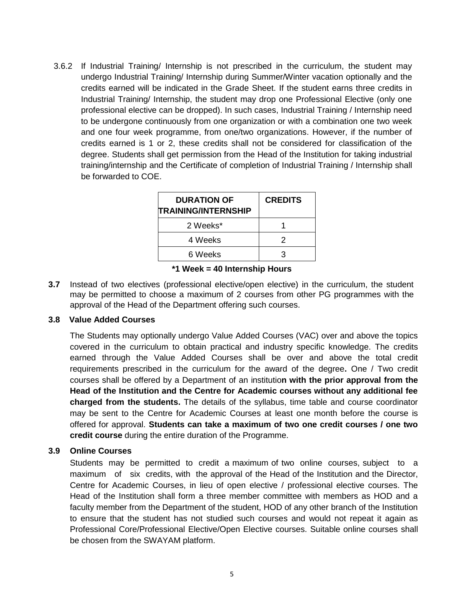3.6.2 If Industrial Training/ Internship is not prescribed in the curriculum, the student may undergo Industrial Training/ Internship during Summer/Winter vacation optionally and the credits earned will be indicated in the Grade Sheet. If the student earns three credits in Industrial Training/ Internship, the student may drop one Professional Elective (only one professional elective can be dropped). In such cases, Industrial Training / Internship need to be undergone continuously from one organization or with a combination one two week and one four week programme, from one/two organizations. However, if the number of credits earned is 1 or 2, these credits shall not be considered for classification of the degree. Students shall get permission from the Head of the Institution for taking industrial training/internship and the Certificate of completion of Industrial Training / Internship shall be forwarded to COE.

| <b>DURATION OF</b><br><b>TRAINING/INTERNSHIP</b> | <b>CREDITS</b> |
|--------------------------------------------------|----------------|
| 2 Weeks*                                         |                |
| 4 Weeks                                          | 2              |
| 6 Weeks                                          | 3              |

#### **\*1 Week = 40 Internship Hours**

**3.7** Instead of two electives (professional elective/open elective) in the curriculum, the student may be permitted to choose a maximum of 2 courses from other PG programmes with the approval of the Head of the Department offering such courses.

### **3.8 Value Added Courses**

The Students may optionally undergo Value Added Courses (VAC) over and above the topics covered in the curriculum to obtain practical and industry specific knowledge. The credits earned through the Value Added Courses shall be over and above the total credit requirements prescribed in the curriculum for the award of the degree**.** One / Two credit courses shall be offered by a Department of an institutio**n with the prior approval from the Head of the Institution and the Centre for Academic courses without any additional fee charged from the students.** The details of the syllabus, time table and course coordinator may be sent to the Centre for Academic Courses at least one month before the course is offered for approval. **Students can take a maximum of two one credit courses / one two credit course** during the entire duration of the Programme.

### **3.9 Online Courses**

Students may be permitted to credit a maximum of two online courses, subject to a maximum of six credits, with the approval of the Head of the Institution and the Director, Centre for Academic Courses, in lieu of open elective / professional elective courses. The Head of the Institution shall form a three member committee with members as HOD and a faculty member from the Department of the student, HOD of any other branch of the Institution to ensure that the student has not studied such courses and would not repeat it again as Professional Core/Professional Elective/Open Elective courses. Suitable online courses shall be chosen from the SWAYAM platform.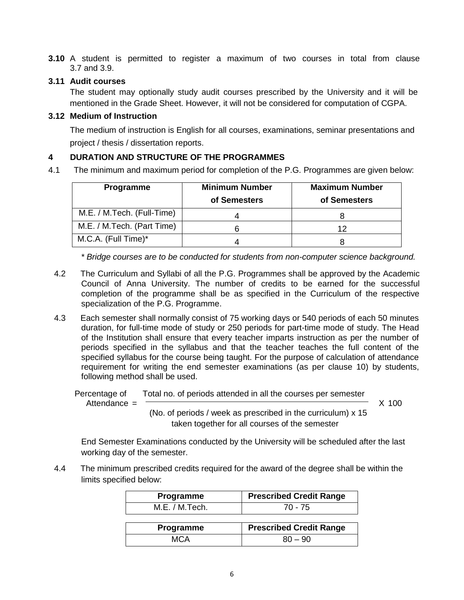**3.10** A student is permitted to register a maximum of two courses in total from clause 3.7 and 3.9.

## **3.11 Audit courses**

The student may optionally study audit courses prescribed by the University and it will be mentioned in the Grade Sheet. However, it will not be considered for computation of CGPA.

## **3.12 Medium of Instruction**

The medium of instruction is English for all courses, examinations, seminar presentations and project / thesis / dissertation reports.

# **4 DURATION AND STRUCTURE OF THE PROGRAMMES**

4.1 The minimum and maximum period for completion of the P.G. Programmes are given below:

| <b>Programme</b>           | <b>Minimum Number</b><br>of Semesters | <b>Maximum Number</b><br>of Semesters |
|----------------------------|---------------------------------------|---------------------------------------|
| M.E. / M.Tech. (Full-Time) |                                       |                                       |
| M.E. / M.Tech. (Part Time) |                                       | ィク                                    |
| M.C.A. (Full Time)*        |                                       |                                       |

*\* Bridge courses are to be conducted for students from non-computer science background.*

- 4.2 The Curriculum and Syllabi of all the P.G. Programmes shall be approved by the Academic Council of Anna University. The number of credits to be earned for the successful completion of the programme shall be as specified in the Curriculum of the respective specialization of the P.G. Programme.
- 4.3 Each semester shall normally consist of 75 working days or 540 periods of each 50 minutes duration, for full-time mode of study or 250 periods for part-time mode of study. The Head of the Institution shall ensure that every teacher imparts instruction as per the number of periods specified in the syllabus and that the teacher teaches the full content of the specified syllabus for the course being taught. For the purpose of calculation of attendance requirement for writing the end semester examinations (as per clause 10) by students, following method shall be used.

 Percentage of Total no. of periods attended in all the courses per semester Attendance =  $\overline{X}$  100

 (No. of periods / week as prescribed in the curriculum) x 15 taken together for all courses of the semester

End Semester Examinations conducted by the University will be scheduled after the last working day of the semester.

4.4 The minimum prescribed credits required for the award of the degree shall be within the limits specified below:

| Programme      | <b>Prescribed Credit Range</b> |
|----------------|--------------------------------|
| M.E. / M.Tech. | 70 - 75                        |
|                |                                |
| Programme      | <b>Prescribed Credit Range</b> |
| MCA            | $80 - 90$                      |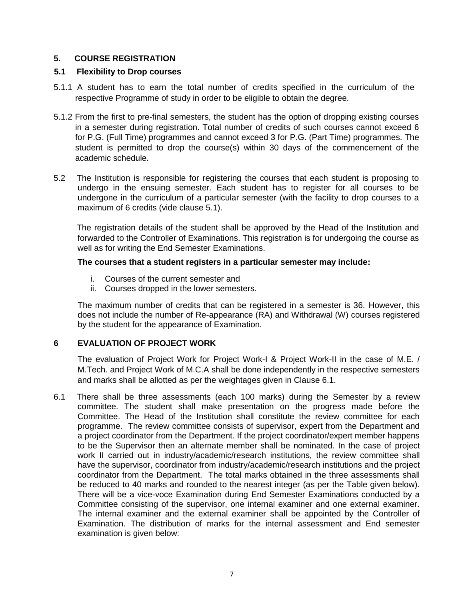# **5. COURSE REGISTRATION**

## **5.1 Flexibility to Drop courses**

- 5.1.1 A student has to earn the total number of credits specified in the curriculum of the respective Programme of study in order to be eligible to obtain the degree.
- 5.1.2 From the first to pre-final semesters, the student has the option of dropping existing courses in a semester during registration. Total number of credits of such courses cannot exceed 6 for P.G. (Full Time) programmes and cannot exceed 3 for P.G. (Part Time) programmes. The student is permitted to drop the course(s) within 30 days of the commencement of the academic schedule.
- 5.2 The Institution is responsible for registering the courses that each student is proposing to undergo in the ensuing semester. Each student has to register for all courses to be undergone in the curriculum of a particular semester (with the facility to drop courses to a maximum of 6 credits (vide clause 5.1).

The registration details of the student shall be approved by the Head of the Institution and forwarded to the Controller of Examinations. This registration is for undergoing the course as well as for writing the End Semester Examinations.

#### **The courses that a student registers in a particular semester may include:**

- i. Courses of the current semester and
- ii. Courses dropped in the lower semesters.

The maximum number of credits that can be registered in a semester is 36. However, this does not include the number of Re-appearance (RA) and Withdrawal (W) courses registered by the student for the appearance of Examination.

### **6 EVALUATION OF PROJECT WORK**

The evaluation of Project Work for Project Work-I & Project Work-II in the case of M.E. / M.Tech. and Project Work of M.C.A shall be done independently in the respective semesters and marks shall be allotted as per the weightages given in Clause 6.1.

6.1 There shall be three assessments (each 100 marks) during the Semester by a review committee. The student shall make presentation on the progress made before the Committee. The Head of the Institution shall constitute the review committee for each programme. The review committee consists of supervisor, expert from the Department and a project coordinator from the Department. If the project coordinator/expert member happens to be the Supervisor then an alternate member shall be nominated. In the case of project work II carried out in industry/academic/research institutions, the review committee shall have the supervisor, coordinator from industry/academic/research institutions and the project coordinator from the Department. The total marks obtained in the three assessments shall be reduced to 40 marks and rounded to the nearest integer (as per the Table given below). There will be a vice-voce Examination during End Semester Examinations conducted by a Committee consisting of the supervisor, one internal examiner and one external examiner. The internal examiner and the external examiner shall be appointed by the Controller of Examination. The distribution of marks for the internal assessment and End semester examination is given below: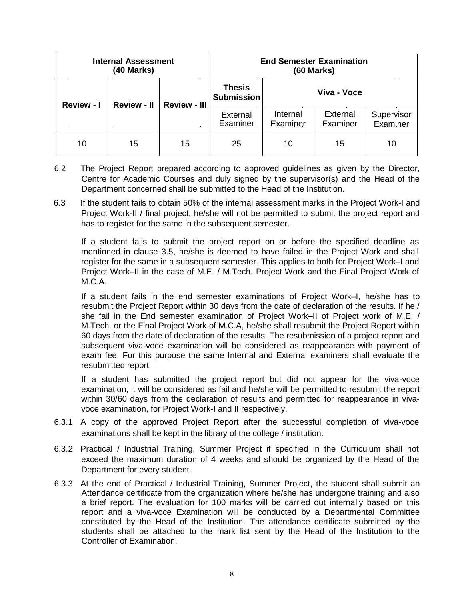|                   | <b>Internal Assessment</b><br>(40 Marks)  |    |                             | <b>End Semester Examination</b><br><b>(60 Marks)</b> |                      |                        |
|-------------------|-------------------------------------------|----|-----------------------------|------------------------------------------------------|----------------------|------------------------|
| <b>Review - I</b> | <b>Review - II</b><br><b>Review - III</b> |    | Thesis<br><b>Submission</b> | Viva - Voce                                          |                      |                        |
|                   |                                           |    | External<br>Examiner        | Internal<br>Examiner                                 | External<br>Examiner | Supervisor<br>Examiner |
| 10                | 15                                        | 15 | 25                          | 10                                                   | 15                   | 10                     |

- 6.2 The Project Report prepared according to approved guidelines as given by the Director, Centre for Academic Courses and duly signed by the supervisor(s) and the Head of the Department concerned shall be submitted to the Head of the Institution.
- 6.3 If the student fails to obtain 50% of the internal assessment marks in the Project Work-I and Project Work-II / final project, he/she will not be permitted to submit the project report and has to register for the same in the subsequent semester.

If a student fails to submit the project report on or before the specified deadline as mentioned in clause 3.5, he/she is deemed to have failed in the Project Work and shall register for the same in a subsequent semester. This applies to both for Project Work–I and Project Work–II in the case of M.E. / M.Tech. Project Work and the Final Project Work of M.C.A.

If a student fails in the end semester examinations of Project Work–I, he/she has to resubmit the Project Report within 30 days from the date of declaration of the results. If he / she fail in the End semester examination of Project Work–II of Project work of M.E. / M.Tech. or the Final Project Work of M.C.A, he/she shall resubmit the Project Report within 60 days from the date of declaration of the results. The resubmission of a project report and subsequent viva-voce examination will be considered as reappearance with payment of exam fee. For this purpose the same Internal and External examiners shall evaluate the resubmitted report.

If a student has submitted the project report but did not appear for the viva-voce examination, it will be considered as fail and he/she will be permitted to resubmit the report within 30/60 days from the declaration of results and permitted for reappearance in vivavoce examination, for Project Work-I and II respectively.

- 6.3.1 A copy of the approved Project Report after the successful completion of viva-voce examinations shall be kept in the library of the college / institution.
- 6.3.2 Practical / Industrial Training, Summer Project if specified in the Curriculum shall not exceed the maximum duration of 4 weeks and should be organized by the Head of the Department for every student.
- 6.3.3 At the end of Practical / Industrial Training, Summer Project, the student shall submit an Attendance certificate from the organization where he/she has undergone training and also a brief report. The evaluation for 100 marks will be carried out internally based on this report and a viva-voce Examination will be conducted by a Departmental Committee constituted by the Head of the Institution. The attendance certificate submitted by the students shall be attached to the mark list sent by the Head of the Institution to the Controller of Examination.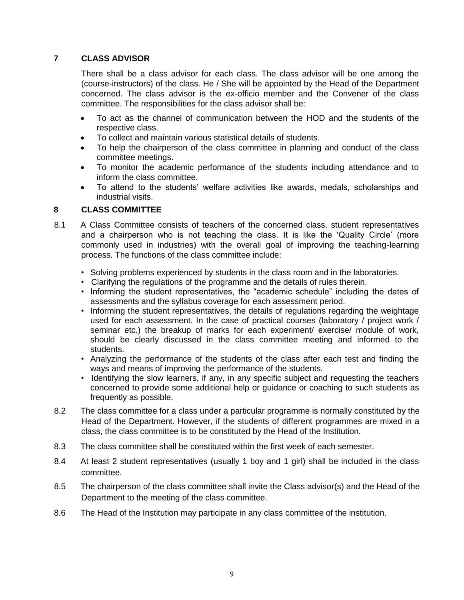# **7 CLASS ADVISOR**

There shall be a class advisor for each class. The class advisor will be one among the (course-instructors) of the class. He / She will be appointed by the Head of the Department concerned. The class advisor is the ex-officio member and the Convener of the class committee. The responsibilities for the class advisor shall be:

- To act as the channel of communication between the HOD and the students of the respective class.
- To collect and maintain various statistical details of students.
- To help the chairperson of the class committee in planning and conduct of the class committee meetings.
- To monitor the academic performance of the students including attendance and to inform the class committee.
- To attend to the students' welfare activities like awards, medals, scholarships and industrial visits.

#### **8 CLASS COMMITTEE**

- 8.1 A Class Committee consists of teachers of the concerned class, student representatives and a chairperson who is not teaching the class. It is like the 'Quality Circle' (more commonly used in industries) with the overall goal of improving the teaching-learning process. The functions of the class committee include:
	- Solving problems experienced by students in the class room and in the laboratories.
	- Clarifying the regulations of the programme and the details of rules therein.
	- Informing the student representatives, the "academic schedule" including the dates of assessments and the syllabus coverage for each assessment period.
	- Informing the student representatives, the details of regulations regarding the weightage used for each assessment. In the case of practical courses (laboratory / project work / seminar etc.) the breakup of marks for each experiment/ exercise/ module of work, should be clearly discussed in the class committee meeting and informed to the students.
	- Analyzing the performance of the students of the class after each test and finding the ways and means of improving the performance of the students.
	- Identifying the slow learners, if any, in any specific subject and requesting the teachers concerned to provide some additional help or guidance or coaching to such students as frequently as possible.
- 8.2 The class committee for a class under a particular programme is normally constituted by the Head of the Department. However, if the students of different programmes are mixed in a class, the class committee is to be constituted by the Head of the Institution.
- 8.3 The class committee shall be constituted within the first week of each semester.
- 8.4 At least 2 student representatives (usually 1 boy and 1 girl) shall be included in the class committee.
- 8.5 The chairperson of the class committee shall invite the Class advisor(s) and the Head of the Department to the meeting of the class committee.
- 8.6 The Head of the Institution may participate in any class committee of the institution.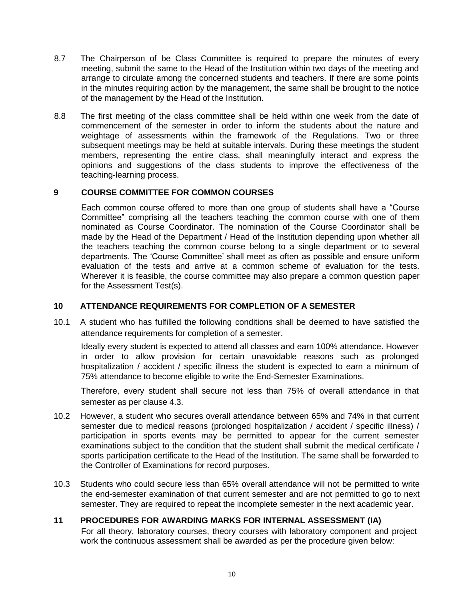- 8.7 The Chairperson of be Class Committee is required to prepare the minutes of every meeting, submit the same to the Head of the Institution within two days of the meeting and arrange to circulate among the concerned students and teachers. If there are some points in the minutes requiring action by the management, the same shall be brought to the notice of the management by the Head of the Institution.
- 8.8 The first meeting of the class committee shall be held within one week from the date of commencement of the semester in order to inform the students about the nature and weightage of assessments within the framework of the Regulations. Two or three subsequent meetings may be held at suitable intervals. During these meetings the student members, representing the entire class, shall meaningfully interact and express the opinions and suggestions of the class students to improve the effectiveness of the teaching-learning process.

# **9 COURSE COMMITTEE FOR COMMON COURSES**

Each common course offered to more than one group of students shall have a "Course Committee" comprising all the teachers teaching the common course with one of them nominated as Course Coordinator. The nomination of the Course Coordinator shall be made by the Head of the Department / Head of the Institution depending upon whether all the teachers teaching the common course belong to a single department or to several departments. The 'Course Committee' shall meet as often as possible and ensure uniform evaluation of the tests and arrive at a common scheme of evaluation for the tests. Wherever it is feasible, the course committee may also prepare a common question paper for the Assessment Test(s).

### **10 ATTENDANCE REQUIREMENTS FOR COMPLETION OF A SEMESTER**

10.1 A student who has fulfilled the following conditions shall be deemed to have satisfied the attendance requirements for completion of a semester.

Ideally every student is expected to attend all classes and earn 100% attendance. However in order to allow provision for certain unavoidable reasons such as prolonged hospitalization / accident / specific illness the student is expected to earn a minimum of 75% attendance to become eligible to write the End-Semester Examinations.

Therefore, every student shall secure not less than 75% of overall attendance in that semester as per clause 4.3.

- 10.2 However, a student who secures overall attendance between 65% and 74% in that current semester due to medical reasons (prolonged hospitalization / accident / specific illness) / participation in sports events may be permitted to appear for the current semester examinations subject to the condition that the student shall submit the medical certificate / sports participation certificate to the Head of the Institution. The same shall be forwarded to the Controller of Examinations for record purposes.
- 10.3 Students who could secure less than 65% overall attendance will not be permitted to write the end-semester examination of that current semester and are not permitted to go to next semester. They are required to repeat the incomplete semester in the next academic year.

# **11 PROCEDURES FOR AWARDING MARKS FOR INTERNAL ASSESSMENT (IA)**

For all theory, laboratory courses, theory courses with laboratory component and project work the continuous assessment shall be awarded as per the procedure given below: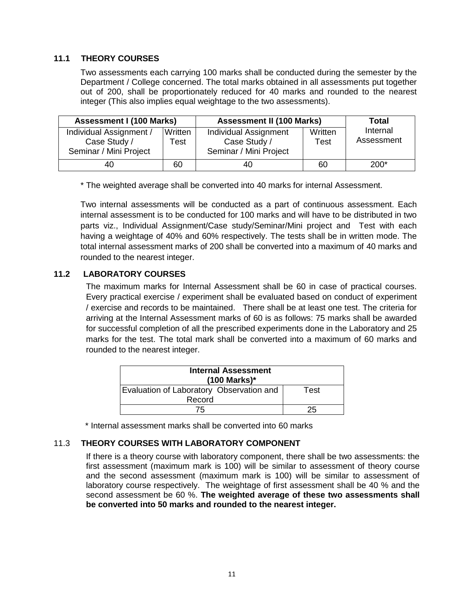## **11.1 THEORY COURSES**

Two assessments each carrying 100 marks shall be conducted during the semester by the Department / College concerned. The total marks obtained in all assessments put together out of 200, shall be proportionately reduced for 40 marks and rounded to the nearest integer (This also implies equal weightage to the two assessments).

| <b>Assessment I (100 Marks)</b>                                   |                 | <b>Assessment II (100 Marks)</b>                                                   |    | <b>Total</b>           |
|-------------------------------------------------------------------|-----------------|------------------------------------------------------------------------------------|----|------------------------|
| Individual Assignment /<br>Case Study /<br>Seminar / Mini Project | Written<br>Test | Written<br>Individual Assignment<br>Case Study /<br>Test<br>Seminar / Mini Project |    | Internal<br>Assessment |
| 40                                                                | 60              | 40                                                                                 | 60 | $200*$                 |

\* The weighted average shall be converted into 40 marks for internal Assessment.

Two internal assessments will be conducted as a part of continuous assessment. Each internal assessment is to be conducted for 100 marks and will have to be distributed in two parts viz., Individual Assignment/Case study/Seminar/Mini project and Test with each having a weightage of 40% and 60% respectively. The tests shall be in written mode. The total internal assessment marks of 200 shall be converted into a maximum of 40 marks and rounded to the nearest integer.

### **11.2 LABORATORY COURSES**

The maximum marks for Internal Assessment shall be 60 in case of practical courses. Every practical exercise / experiment shall be evaluated based on conduct of experiment / exercise and records to be maintained. There shall be at least one test. The criteria for arriving at the Internal Assessment marks of 60 is as follows: 75 marks shall be awarded for successful completion of all the prescribed experiments done in the Laboratory and 25 marks for the test. The total mark shall be converted into a maximum of 60 marks and rounded to the nearest integer.

| <b>Internal Assessment</b><br>(100 Marks)* |      |  |
|--------------------------------------------|------|--|
| Evaluation of Laboratory Observation and   | Test |  |
| Record                                     |      |  |
| 75                                         | 25   |  |

\* Internal assessment marks shall be converted into 60 marks

### 11.3 **THEORY COURSES WITH LABORATORY COMPONENT**

If there is a theory course with laboratory component, there shall be two assessments: the first assessment (maximum mark is 100) will be similar to assessment of theory course and the second assessment (maximum mark is 100) will be similar to assessment of laboratory course respectively. The weightage of first assessment shall be 40 % and the second assessment be 60 %. **The weighted average of these two assessments shall be converted into 50 marks and rounded to the nearest integer.**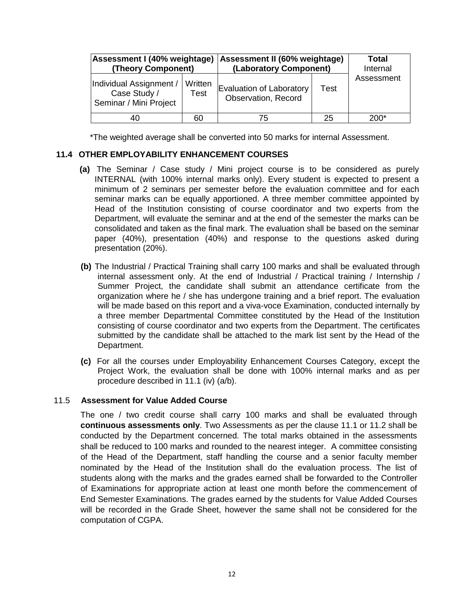| Assessment I (40% weightage)<br>(Theory Component)                |                 | Assessment II (60% weightage)<br>(Laboratory Component) |      | Total<br>Internal |  |
|-------------------------------------------------------------------|-----------------|---------------------------------------------------------|------|-------------------|--|
| Individual Assignment /<br>Case Study /<br>Seminar / Mini Project | Written<br>Test | Evaluation of Laboratory<br>Observation, Record         | Test | Assessment        |  |
| 40                                                                | 60              | 75                                                      | 25   | 200*              |  |

\*The weighted average shall be converted into 50 marks for internal Assessment.

## **11.4 OTHER EMPLOYABILITY ENHANCEMENT COURSES**

- **(a)** The Seminar / Case study / Mini project course is to be considered as purely INTERNAL (with 100% internal marks only). Every student is expected to present a minimum of 2 seminars per semester before the evaluation committee and for each seminar marks can be equally apportioned. A three member committee appointed by Head of the Institution consisting of course coordinator and two experts from the Department, will evaluate the seminar and at the end of the semester the marks can be consolidated and taken as the final mark. The evaluation shall be based on the seminar paper (40%), presentation (40%) and response to the questions asked during presentation (20%).
- **(b)** The Industrial / Practical Training shall carry 100 marks and shall be evaluated through internal assessment only. At the end of Industrial / Practical training / Internship / Summer Project, the candidate shall submit an attendance certificate from the organization where he / she has undergone training and a brief report. The evaluation will be made based on this report and a viva-voce Examination, conducted internally by a three member Departmental Committee constituted by the Head of the Institution consisting of course coordinator and two experts from the Department. The certificates submitted by the candidate shall be attached to the mark list sent by the Head of the Department.
- **(c)** For all the courses under Employability Enhancement Courses Category, except the Project Work, the evaluation shall be done with 100% internal marks and as per procedure described in 11.1 (iv) (a/b).

### 11.5 **Assessment for Value Added Course**

The one / two credit course shall carry 100 marks and shall be evaluated through **continuous assessments only**. Two Assessments as per the clause 11.1 or 11.2 shall be conducted by the Department concerned. The total marks obtained in the assessments shall be reduced to 100 marks and rounded to the nearest integer. A committee consisting of the Head of the Department, staff handling the course and a senior faculty member nominated by the Head of the Institution shall do the evaluation process. The list of students along with the marks and the grades earned shall be forwarded to the Controller of Examinations for appropriate action at least one month before the commencement of End Semester Examinations. The grades earned by the students for Value Added Courses will be recorded in the Grade Sheet, however the same shall not be considered for the computation of CGPA.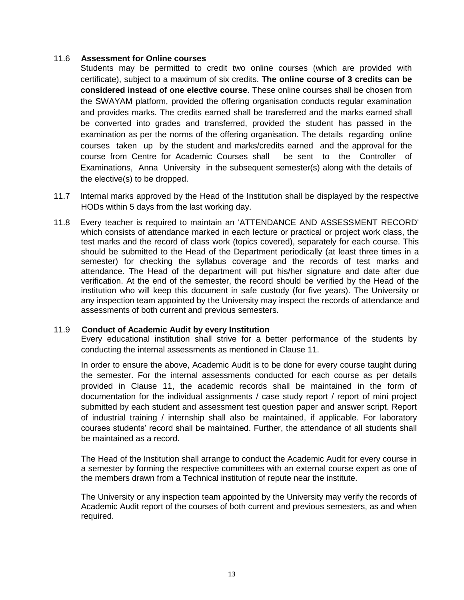#### 11.6 **Assessment for Online courses**

Students may be permitted to credit two online courses (which are provided with certificate), subject to a maximum of six credits. **The online course of 3 credits can be considered instead of one elective course**. These online courses shall be chosen from the SWAYAM platform, provided the offering organisation conducts regular examination and provides marks. The credits earned shall be transferred and the marks earned shall be converted into grades and transferred, provided the student has passed in the examination as per the norms of the offering organisation. The details regarding online courses taken up by the student and marks/credits earned and the approval for the course from Centre for Academic Courses shall be sent to the Controller of Examinations, Anna University in the subsequent semester(s) along with the details of the elective(s) to be dropped.

- 11.7 Internal marks approved by the Head of the Institution shall be displayed by the respective HODs within 5 days from the last working day.
- 11.8 Every teacher is required to maintain an 'ATTENDANCE AND ASSESSMENT RECORD' which consists of attendance marked in each lecture or practical or project work class, the test marks and the record of class work (topics covered), separately for each course. This should be submitted to the Head of the Department periodically (at least three times in a semester) for checking the syllabus coverage and the records of test marks and attendance. The Head of the department will put his/her signature and date after due verification. At the end of the semester, the record should be verified by the Head of the institution who will keep this document in safe custody (for five years). The University or any inspection team appointed by the University may inspect the records of attendance and assessments of both current and previous semesters.

#### 11.9 **Conduct of Academic Audit by every Institution**

Every educational institution shall strive for a better performance of the students by conducting the internal assessments as mentioned in Clause 11.

In order to ensure the above, Academic Audit is to be done for every course taught during the semester. For the internal assessments conducted for each course as per details provided in Clause 11, the academic records shall be maintained in the form of documentation for the individual assignments / case study report / report of mini project submitted by each student and assessment test question paper and answer script. Report of industrial training / internship shall also be maintained, if applicable. For laboratory courses students' record shall be maintained. Further, the attendance of all students shall be maintained as a record.

The Head of the Institution shall arrange to conduct the Academic Audit for every course in a semester by forming the respective committees with an external course expert as one of the members drawn from a Technical institution of repute near the institute.

The University or any inspection team appointed by the University may verify the records of Academic Audit report of the courses of both current and previous semesters, as and when required.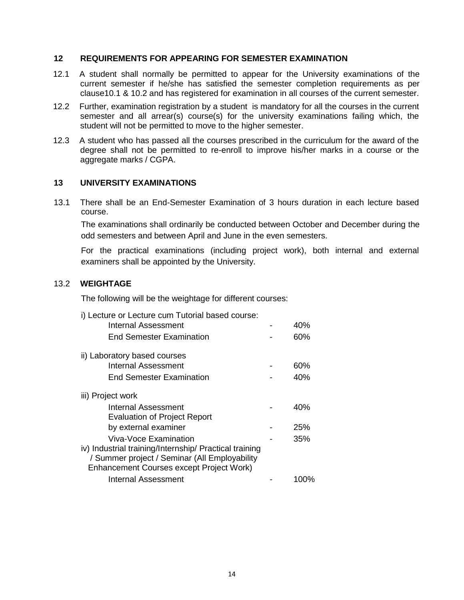#### **12 REQUIREMENTS FOR APPEARING FOR SEMESTER EXAMINATION**

- 12.1 A student shall normally be permitted to appear for the University examinations of the current semester if he/she has satisfied the semester completion requirements as per clause10.1 & 10.2 and has registered for examination in all courses of the current semester.
- 12.2 Further, examination registration by a student is mandatory for all the courses in the current semester and all arrear(s) course(s) for the university examinations failing which, the student will not be permitted to move to the higher semester.
- 12.3 A student who has passed all the courses prescribed in the curriculum for the award of the degree shall not be permitted to re-enroll to improve his/her marks in a course or the aggregate marks / CGPA.

#### **13 UNIVERSITY EXAMINATIONS**

13.1 There shall be an End-Semester Examination of 3 hours duration in each lecture based course.

The examinations shall ordinarily be conducted between October and December during the odd semesters and between April and June in the even semesters.

For the practical examinations (including project work), both internal and external examiners shall be appointed by the University.

### 13.2 **WEIGHTAGE**

The following will be the weightage for different courses:

#### i) Lecture or Lecture cum Tutorial based course:

| 40%  |
|------|
| 60%  |
|      |
| 60%  |
| 40%  |
|      |
| 40%  |
|      |
| 25%  |
| 35%  |
|      |
|      |
|      |
| 100% |
|      |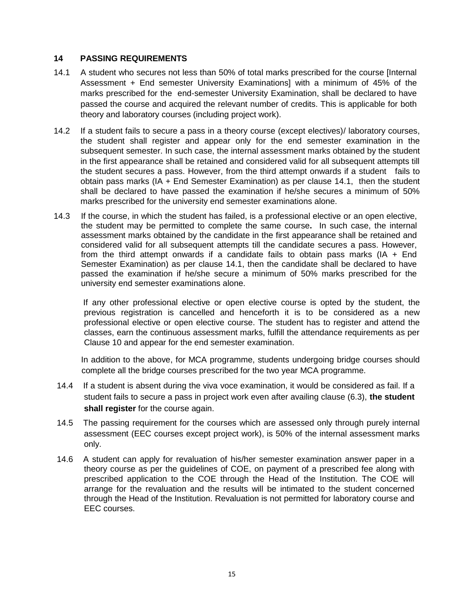## **14 PASSING REQUIREMENTS**

- 14.1 A student who secures not less than 50% of total marks prescribed for the course [Internal Assessment + End semester University Examinations] with a minimum of 45% of the marks prescribed for the end-semester University Examination, shall be declared to have passed the course and acquired the relevant number of credits. This is applicable for both theory and laboratory courses (including project work).
- 14.2 If a student fails to secure a pass in a theory course (except electives)/ laboratory courses, the student shall register and appear only for the end semester examination in the subsequent semester. In such case, the internal assessment marks obtained by the student in the first appearance shall be retained and considered valid for all subsequent attempts till the student secures a pass. However, from the third attempt onwards if a student fails to obtain pass marks (IA + End Semester Examination) as per clause 14.1, then the student shall be declared to have passed the examination if he/she secures a minimum of 50% marks prescribed for the university end semester examinations alone.
- 14.3 If the course, in which the student has failed, is a professional elective or an open elective, the student may be permitted to complete the same course**.** In such case, the internal assessment marks obtained by the candidate in the first appearance shall be retained and considered valid for all subsequent attempts till the candidate secures a pass. However, from the third attempt onwards if a candidate fails to obtain pass marks (IA  $+$  End Semester Examination) as per clause 14.1, then the candidate shall be declared to have passed the examination if he/she secure a minimum of 50% marks prescribed for the university end semester examinations alone.

If any other professional elective or open elective course is opted by the student, the previous registration is cancelled and henceforth it is to be considered as a new professional elective or open elective course. The student has to register and attend the classes, earn the continuous assessment marks, fulfill the attendance requirements as per Clause 10 and appear for the end semester examination.

In addition to the above, for MCA programme, students undergoing bridge courses should complete all the bridge courses prescribed for the two year MCA programme.

- 14.4 If a student is absent during the viva voce examination, it would be considered as fail. If a student fails to secure a pass in project work even after availing clause (6.3), **the student shall register** for the course again.
- 14.5 The passing requirement for the courses which are assessed only through purely internal assessment (EEC courses except project work), is 50% of the internal assessment marks only.
- 14.6 A student can apply for revaluation of his/her semester examination answer paper in a theory course as per the guidelines of COE, on payment of a prescribed fee along with prescribed application to the COE through the Head of the Institution. The COE will arrange for the revaluation and the results will be intimated to the student concerned through the Head of the Institution. Revaluation is not permitted for laboratory course and EEC courses.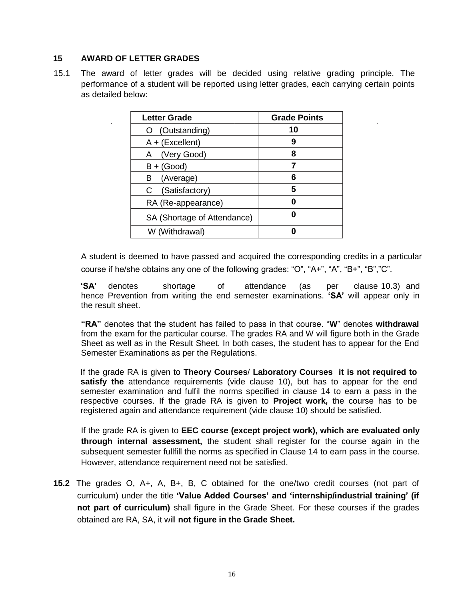# **15 AWARD OF LETTER GRADES**

15.1 The award of letter grades will be decided using relative grading principle. The performance of a student will be reported using letter grades, each carrying certain points as detailed below:

| <b>Letter Grade</b>         | <b>Grade Points</b> |
|-----------------------------|---------------------|
| (Outstanding)               | 10                  |
| $A + (Excellent)$           | 9                   |
| (Very Good)<br>A            | 8                   |
| $B + (Good)$                |                     |
| (Average)<br>в              | 6                   |
| (Satisfactory)              | 5                   |
| RA (Re-appearance)          |                     |
| SA (Shortage of Attendance) |                     |
| W (Withdrawal)              |                     |

A student is deemed to have passed and acquired the corresponding credits in a particular course if he/she obtains any one of the following grades: "O", "A+", "A", "B+", "B","C".

**'SA'** denotes shortage of attendance (as per clause 10.3) and hence Prevention from writing the end semester examinations. **'SA'** will appear only in the result sheet.

**"RA"** denotes that the student has failed to pass in that course. "**W**" denotes **withdrawal**  from the exam for the particular course. The grades RA and W will figure both in the Grade Sheet as well as in the Result Sheet. In both cases, the student has to appear for the End Semester Examinations as per the Regulations.

If the grade RA is given to **Theory Courses**/ **Laboratory Courses it is not required to satisfy the** attendance requirements (vide clause 10), but has to appear for the end semester examination and fulfil the norms specified in clause 14 to earn a pass in the respective courses. If the grade RA is given to **Project work,** the course has to be registered again and attendance requirement (vide clause 10) should be satisfied.

If the grade RA is given to **EEC course (except project work), which are evaluated only through internal assessment,** the student shall register for the course again in the subsequent semester fullfill the norms as specified in Clause 14 to earn pass in the course. However, attendance requirement need not be satisfied.

**15.2** The grades O, A+, A, B+, B, C obtained for the one/two credit courses (not part of curriculum) under the title **'Value Added Courses' and 'internship/industrial training' (if not part of curriculum)** shall figure in the Grade Sheet. For these courses if the grades obtained are RA, SA, it will **not figure in the Grade Sheet.**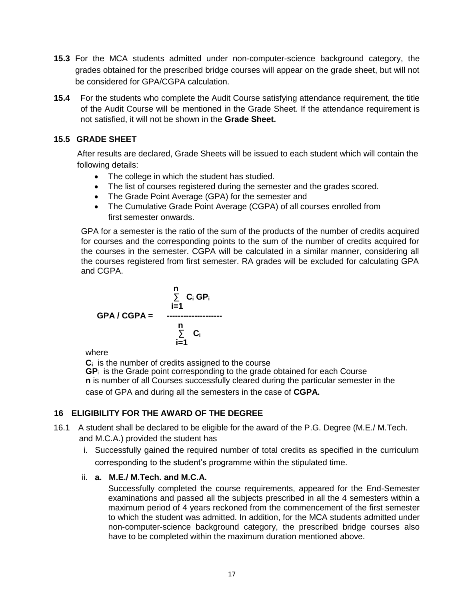- **15.3** For the MCA students admitted under non-computer-science background category, the grades obtained for the prescribed bridge courses will appear on the grade sheet, but will not be considered for GPA/CGPA calculation.
- **15.4** For the students who complete the Audit Course satisfying attendance requirement, the title of the Audit Course will be mentioned in the Grade Sheet. If the attendance requirement is not satisfied, it will not be shown in the **Grade Sheet.**

# **15.5 GRADE SHEET**

After results are declared, Grade Sheets will be issued to each student which will contain the following details:

- The college in which the student has studied.
- The list of courses registered during the semester and the grades scored.
- The Grade Point Average (GPA) for the semester and
- The Cumulative Grade Point Average (CGPA) of all courses enrolled from first semester onwards.

GPA for a semester is the ratio of the sum of the products of the number of credits acquired for courses and the corresponding points to the sum of the number of credits acquired for the courses in the semester. CGPA will be calculated in a similar manner, considering all the courses registered from first semester. RA grades will be excluded for calculating GPA and CGPA.

$$
GPA / CGPA = \begin{array}{c} n \\ \sum_{i=1}^{n} C_i GP_i \\ \vdots \\ \sum_{i=1}^{n} C_i \end{array}
$$

where

**C<sup>i</sup>** is the number of credits assigned to the course **GP**<sup>i</sup>is the Grade point corresponding to the grade obtained for each Course **n** is number of all Courses successfully cleared during the particular semester in the

case of GPA and during all the semesters in the case of **CGPA.**

# **16 ELIGIBILITY FOR THE AWARD OF THE DEGREE**

- 16.1 A student shall be declared to be eligible for the award of the P.G. Degree (M.E./ M.Tech. and M.C.A.) provided the student has
	- i. Successfully gained the required number of total credits as specified in the curriculum corresponding to the student's programme within the stipulated time.

# ii. **a. M.E./ M.Tech. and M.C.A.**

Successfully completed the course requirements, appeared for the End-Semester examinations and passed all the subjects prescribed in all the 4 semesters within a maximum period of 4 years reckoned from the commencement of the first semester to which the student was admitted. In addition, for the MCA students admitted under non-computer-science background category, the prescribed bridge courses also have to be completed within the maximum duration mentioned above.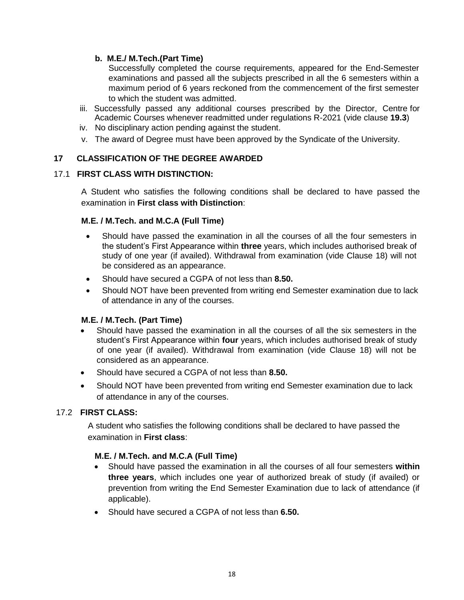# **b. M.E./ M.Tech.(Part Time)**

Successfully completed the course requirements, appeared for the End-Semester examinations and passed all the subjects prescribed in all the 6 semesters within a maximum period of 6 years reckoned from the commencement of the first semester to which the student was admitted.

- iii. Successfully passed any additional courses prescribed by the Director, Centre for Academic Courses whenever readmitted under regulations R-2021 (vide clause **19.3**)
- iv. No disciplinary action pending against the student.
- v. The award of Degree must have been approved by the Syndicate of the University.

# **17 CLASSIFICATION OF THE DEGREE AWARDED**

# 17.1 **FIRST CLASS WITH DISTINCTION:**

A Student who satisfies the following conditions shall be declared to have passed the examination in **First class with Distinction**:

# **M.E. / M.Tech. and M.C.A (Full Time)**

- Should have passed the examination in all the courses of all the four semesters in the student's First Appearance within **three** years, which includes authorised break of study of one year (if availed). Withdrawal from examination (vide Clause 18) will not be considered as an appearance.
- Should have secured a CGPA of not less than **8.50.**
- Should NOT have been prevented from writing end Semester examination due to lack of attendance in any of the courses.

# **M.E. / M.Tech. (Part Time)**

- Should have passed the examination in all the courses of all the six semesters in the student's First Appearance within **four** years, which includes authorised break of study of one year (if availed). Withdrawal from examination (vide Clause 18) will not be considered as an appearance.
- Should have secured a CGPA of not less than **8.50.**
- Should NOT have been prevented from writing end Semester examination due to lack of attendance in any of the courses.

# 17.2 **FIRST CLASS:**

A student who satisfies the following conditions shall be declared to have passed the examination in **First class**:

# **M.E. / M.Tech. and M.C.A (Full Time)**

- Should have passed the examination in all the courses of all four semesters **within three years**, which includes one year of authorized break of study (if availed) or prevention from writing the End Semester Examination due to lack of attendance (if applicable).
- Should have secured a CGPA of not less than **6.50.**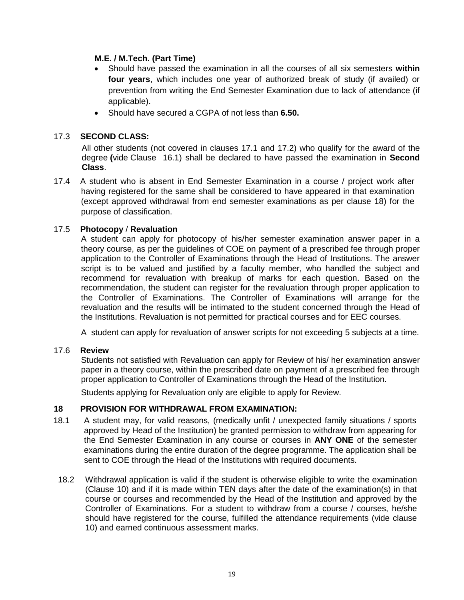## **M.E. / M.Tech. (Part Time)**

- Should have passed the examination in all the courses of all six semesters **within four years**, which includes one year of authorized break of study (if availed) or prevention from writing the End Semester Examination due to lack of attendance (if applicable).
- Should have secured a CGPA of not less than **6.50.**

# 17.3 **SECOND CLASS:**

All other students (not covered in clauses 17.1 and 17.2) who qualify for the award of the degree **(**vide Clause 16.1) shall be declared to have passed the examination in **Second Class**.

17.4 A student who is absent in End Semester Examination in a course / project work after having registered for the same shall be considered to have appeared in that examination (except approved withdrawal from end semester examinations as per clause 18) for the purpose of classification.

### 17.5 **Photocopy** / **Revaluation**

A student can apply for photocopy of his/her semester examination answer paper in a theory course, as per the guidelines of COE on payment of a prescribed fee through proper application to the Controller of Examinations through the Head of Institutions. The answer script is to be valued and justified by a faculty member, who handled the subject and recommend for revaluation with breakup of marks for each question. Based on the recommendation, the student can register for the revaluation through proper application to the Controller of Examinations. The Controller of Examinations will arrange for the revaluation and the results will be intimated to the student concerned through the Head of the Institutions. Revaluation is not permitted for practical courses and for EEC courses.

A student can apply for revaluation of answer scripts for not exceeding 5 subjects at a time.

### 17.6 **Review**

Students not satisfied with Revaluation can apply for Review of his/ her examination answer paper in a theory course, within the prescribed date on payment of a prescribed fee through proper application to Controller of Examinations through the Head of the Institution.

Students applying for Revaluation only are eligible to apply for Review.

### **18 PROVISION FOR WITHDRAWAL FROM EXAMINATION:**

- 18.1 A student may, for valid reasons, (medically unfit / unexpected family situations / sports approved by Head of the Institution) be granted permission to withdraw from appearing for the End Semester Examination in any course or courses in **ANY ONE** of the semester examinations during the entire duration of the degree programme. The application shall be sent to COE through the Head of the Institutions with required documents.
- 18.2 Withdrawal application is valid if the student is otherwise eligible to write the examination (Clause 10) and if it is made within TEN days after the date of the examination(s) in that course or courses and recommended by the Head of the Institution and approved by the Controller of Examinations. For a student to withdraw from a course / courses, he/she should have registered for the course, fulfilled the attendance requirements (vide clause 10) and earned continuous assessment marks.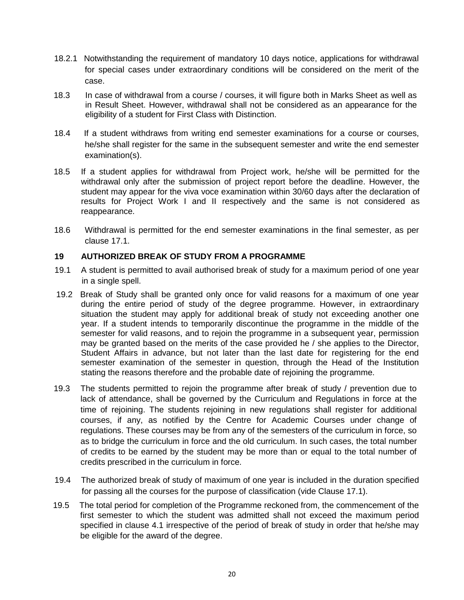- 18.2.1 Notwithstanding the requirement of mandatory 10 days notice, applications for withdrawal for special cases under extraordinary conditions will be considered on the merit of the case.
- 18.3 In case of withdrawal from a course / courses, it will figure both in Marks Sheet as well as in Result Sheet. However, withdrawal shall not be considered as an appearance for the eligibility of a student for First Class with Distinction.
- 18.4 If a student withdraws from writing end semester examinations for a course or courses, he/she shall register for the same in the subsequent semester and write the end semester examination(s).
- 18.5 If a student applies for withdrawal from Project work, he/she will be permitted for the withdrawal only after the submission of project report before the deadline. However, the student may appear for the viva voce examination within 30/60 days after the declaration of results for Project Work I and II respectively and the same is not considered as reappearance.
- 18.6 Withdrawal is permitted for the end semester examinations in the final semester, as per clause 17.1.

### **19 AUTHORIZED BREAK OF STUDY FROM A PROGRAMME**

- 19.1 A student is permitted to avail authorised break of study for a maximum period of one year in a single spell.
- 19.2 Break of Study shall be granted only once for valid reasons for a maximum of one year during the entire period of study of the degree programme. However, in extraordinary situation the student may apply for additional break of study not exceeding another one year. If a student intends to temporarily discontinue the programme in the middle of the semester for valid reasons, and to rejoin the programme in a subsequent year, permission may be granted based on the merits of the case provided he / she applies to the Director, Student Affairs in advance, but not later than the last date for registering for the end semester examination of the semester in question, through the Head of the Institution stating the reasons therefore and the probable date of rejoining the programme.
- 19.3 The students permitted to rejoin the programme after break of study / prevention due to lack of attendance, shall be governed by the Curriculum and Regulations in force at the time of rejoining. The students rejoining in new regulations shall register for additional courses, if any, as notified by the Centre for Academic Courses under change of regulations. These courses may be from any of the semesters of the curriculum in force, so as to bridge the curriculum in force and the old curriculum. In such cases, the total number of credits to be earned by the student may be more than or equal to the total number of credits prescribed in the curriculum in force.
- 19.4 The authorized break of study of maximum of one year is included in the duration specified for passing all the courses for the purpose of classification (vide Clause 17.1).
- 19.5 The total period for completion of the Programme reckoned from, the commencement of the first semester to which the student was admitted shall not exceed the maximum period specified in clause 4.1 irrespective of the period of break of study in order that he/she may be eligible for the award of the degree.